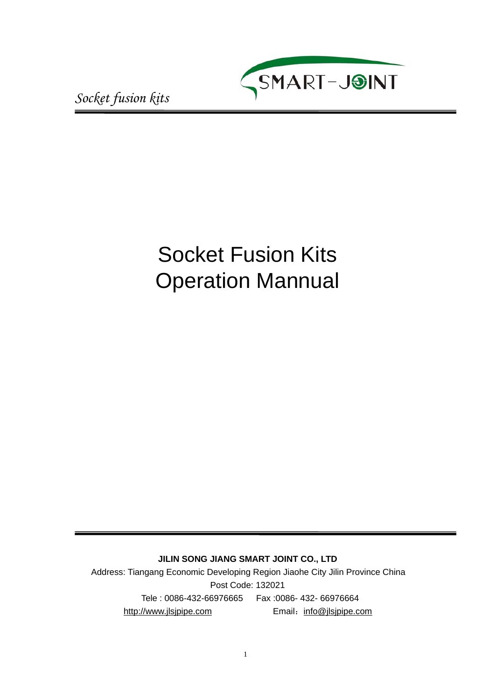

# Socket Fusion Kits Operation Mannual

**JILIN SONG JIANG SMART JOINT CO., LTD**

Address: Tiangang Economic Developing Region Jiaohe City Jilin Province China Post Code: 132021 Tele : 0086-432-66976665 Fax :0086- 432- 66976664 http://www.jlsjpipe.com Email: info@jlsjpipe.com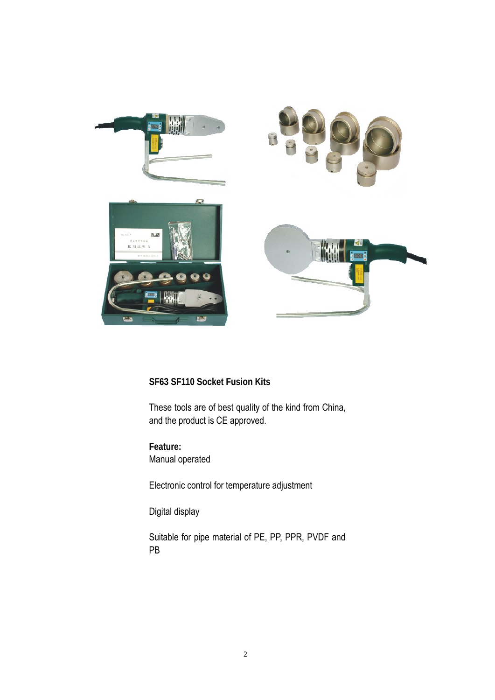

## **SF63 SF110 Socket Fusion Kits**

These tools are of best quality of the kind from China, and the product is CE approved.

**Feature:** Manual operated

Electronic control for temperature adjustment

Digital display

Suitable for pipe material of PE, PP, PPR, PVDF and PB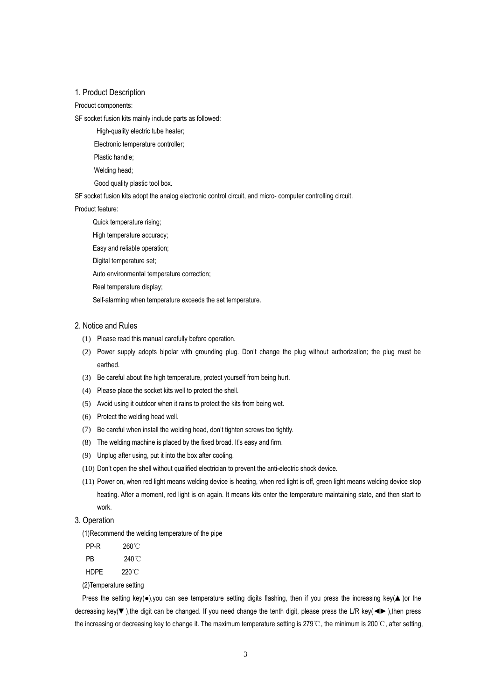#### 1. Product Description

Product components:

SF socket fusion kits mainly include parts as followed:

High-quality electric tube heater;

Electronic temperature controller;

Plastic handle;

Welding head;

Good quality plastic tool box.

SF socket fusion kits adopt the analog electronic control circuit, and micro- computer controlling circuit.

Product feature:

Quick temperature rising;

High temperature accuracy;

Easy and reliable operation;

Digital temperature set;

Auto environmental temperature correction;

Real temperature display;

Self-alarming when temperature exceeds the set temperature.

#### 2. Notice and Rules

- (1) Please read this manual carefully before operation.
- (2) Power supply adopts bipolar with grounding plug. Don't change the plug without authorization; the plug must be earthed.
- (3) Be careful about the high temperature, protect yourself from being hurt.
- (4) Please place the socket kits well to protect the shell.
- (5) Avoid using it outdoor when it rains to protect the kits from being wet.
- (6) Protect the welding head well.
- (7) Be careful when install the welding head, don't tighten screws too tightly.
- (8) The welding machine is placed by the fixed broad. It's easy and firm.
- (9) Unplug after using, put it into the box after cooling.
- (10) Don't open the shell without qualified electrician to prevent the anti-electric shock device.
- (11) Power on, when red light means welding device is heating, when red light is off, green light means welding device stop heating. After a moment, red light is on again. It means kits enter the temperature maintaining state, and then start to work.
- 3. Operation

(1)Recommend the welding temperature of the pipe

PP-R 260℃ PR 240℃ HDPE 220℃

(2)Temperature setting

Press the setting key(●),you can see temperature setting digits flashing, then if you press the increasing key(▲)or the decreasing key(▼),the digit can be changed. If you need change the tenth digit, please press the L/R key(◄►),then press the increasing or decreasing key to change it. The maximum temperature setting is 279℃, the minimum is 200℃, after setting,